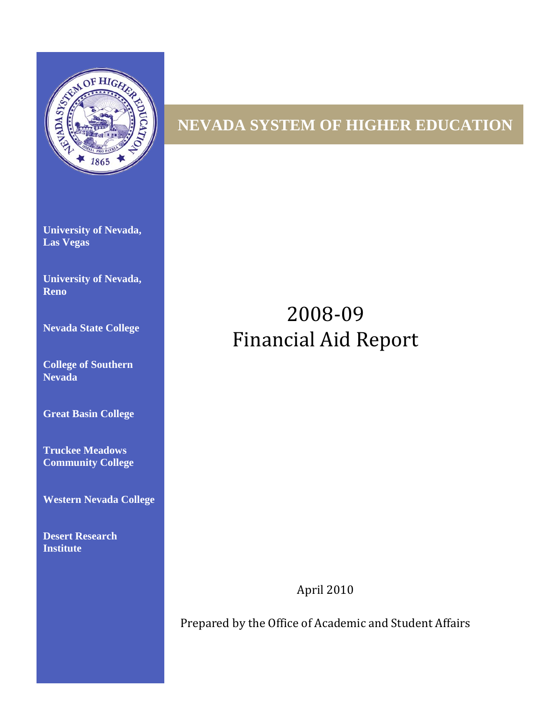

# **NEVADA SYSTEM OF HIGHER EDUCATION**

**University of Nevada, Las Vegas** 

**University of Nevada, Reno**

**Nevada State College** 

**College of Southern Nevada** 

**Great Basin College** 

**Truckee Meadows Community College** 

**Western Nevada College** 

**Desert Research Institute**

# 2008-09 Financial Aid Report

April 2010

Prepared by the Office of Academic and Student Affairs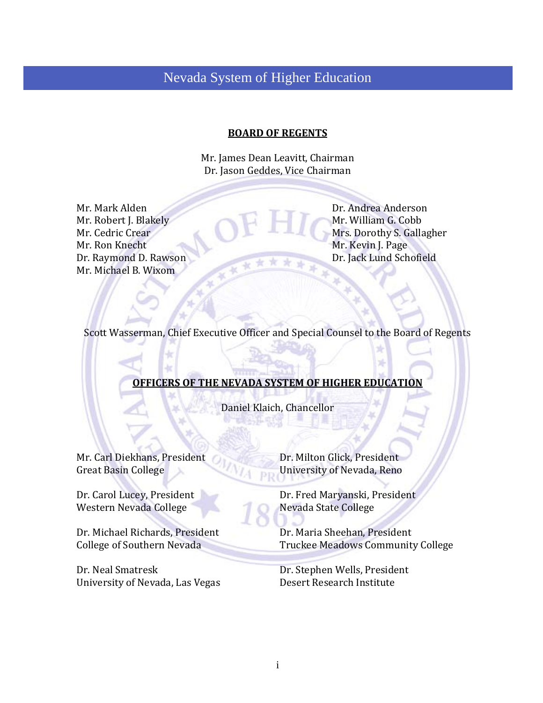# Nevada System of Higher Education

#### **BOARD OF REGENTS**

Mr. James Dean Leavitt, Chairman Dr. Jason Geddes, Vice Chairman

Mr. Mark Alden Dr. Andrea Anderson<br>Mr. Robert J. Blakely Mr. William G. Cobb Mr. Robert J. Blakely<br>Mr. Cedric Crear Mr. Ron Knecht Mr. Kevin J. Page Dr. Raymond D. Rawson Dr. Jack Lund Sch Mr. Michael B. Wixom

Mr. Cedric Crear Mrs. Dorothy S. Gallagher Mrs. Dorothy S. Gallagher Mrs. Dorothy S. Gallagher Dr. Jack Lund Schofield

Scott Wasserman, Chief Executive Officer and Special Counsel to the Board of Regents

## **OFFICERS OF THE NEVADA SYSTEM OF HIGHER EDUCATION**

Daniel Klaich, Chancellor

Mr. Carl Diekhans, President Dr. Milton Glick, President Great Basin College University of Nevada, Reno

Western Nevada College

Dr. Michael Richards, President Dr. Maria Sheehan, President College of Southern Nevada Truckee Meadows Communit

Dr. Neal Smatresk Dr. Stephen Wells, President<br>
University of Nevada, Las Vegas Desert Research Institute University of Nevada, Las Vegas

University of Nevada, Reno

Dr. Carol Lucey, President Dr. Fred Maryanski, President Western Nevada College

Truckee Meadows Community College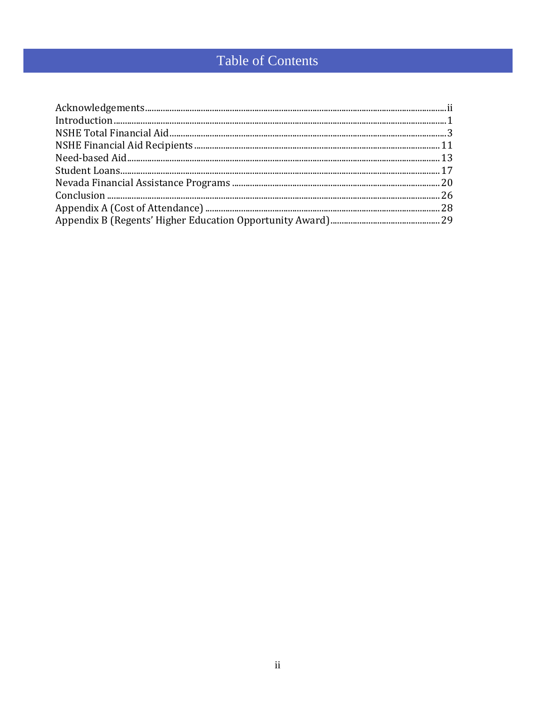# Table of Contents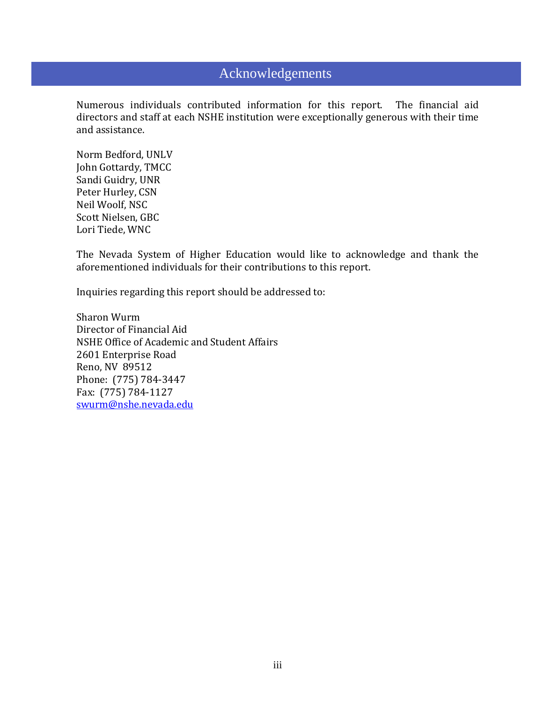# Acknowledgements

Numerous individuals contributed information for this report. The financial aid directors and staff at each NSHE institution were exceptionally generous with their time and assistance.

Norm Bedford, UNLV John Gottardy, TMCC Sandi Guidry, UNR Peter Hurley, CSN Neil Woolf, NSC Scott Nielsen, GBC Lori Tiede, WNC

The Nevada System of Higher Education would like to acknowledge and thank the aforementioned individuals for their contributions to this report.

Inquiries regarding this report should be addressed to:

Sharon Wurm Director of Financial Aid NSHE Office of Academic and Student Affairs 2601 Enterprise Road Reno, NV 89512 Phone: (775) 784-3447 Fax: (775) 784-1127 [swurm@nshe.nevada.edu](mailto:swurm@nshe.nevada.edu)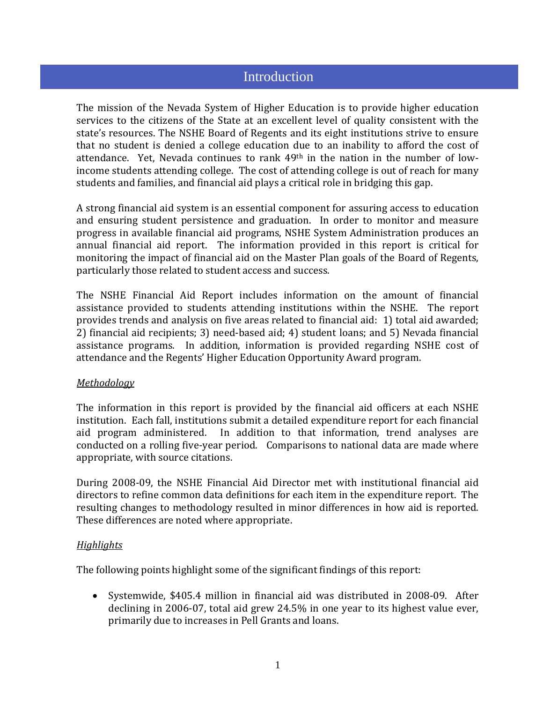# **Introduction**

The mission of the Nevada System of Higher Education is to provide higher education services to the citizens of the State at an excellent level of quality consistent with the state's resources. The NSHE Board of Regents and its eight institutions strive to ensure that no student is denied a college education due to an inability to afford the cost of attendance. Yet, Nevada continues to rank 49th in the nation in the number of lowincome students attending college. The cost of attending college is out of reach for many students and families, and financial aid plays a critical role in bridging this gap.

A strong financial aid system is an essential component for assuring access to education and ensuring student persistence and graduation. In order to monitor and measure progress in available financial aid programs, NSHE System Administration produces an annual financial aid report. The information provided in this report is critical for monitoring the impact of financial aid on the Master Plan goals of the Board of Regents, particularly those related to student access and success.

The NSHE Financial Aid Report includes information on the amount of financial assistance provided to students attending institutions within the NSHE. The report provides trends and analysis on five areas related to financial aid: 1) total aid awarded; 2) financial aid recipients; 3) need-based aid; 4) student loans; and 5) Nevada financial assistance programs. In addition, information is provided regarding NSHE cost of attendance and the Regents' Higher Education Opportunity Award program.

#### *Methodology*

The information in this report is provided by the financial aid officers at each NSHE institution. Each fall, institutions submit a detailed expenditure report for each financial aid program administered. In addition to that information, trend analyses are conducted on a rolling five-year period. Comparisons to national data are made where appropriate, with source citations.

During 2008-09, the NSHE Financial Aid Director met with institutional financial aid directors to refine common data definitions for each item in the expenditure report. The resulting changes to methodology resulted in minor differences in how aid is reported. These differences are noted where appropriate.

#### *Highlights*

The following points highlight some of the significant findings of this report:

• Systemwide, \$405.4 million in financial aid was distributed in 2008-09. After declining in 2006-07, total aid grew 24.5% in one year to its highest value ever, primarily due to increases in Pell Grants and loans.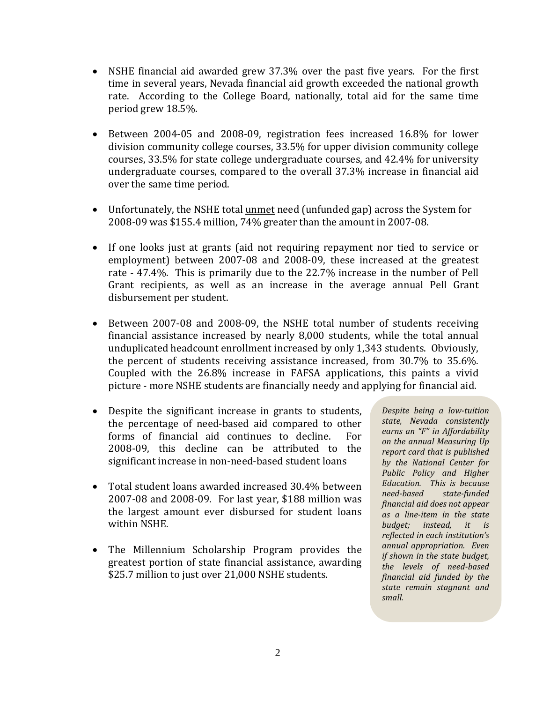- NSHE financial aid awarded grew 37.3% over the past five years. For the first time in several years, Nevada financial aid growth exceeded the national growth rate. According to the College Board, nationally, total aid for the same time period grew 18.5%.
- Between 2004-05 and 2008-09, registration fees increased 16.8% for lower division community college courses, 33.5% for upper division community college courses, 33.5% for state college undergraduate courses, and 42.4% for university undergraduate courses, compared to the overall 37.3% increase in financial aid over the same time period.
- Unfortunately, the NSHE total *unmet* need (unfunded gap) across the System for 2008-09 was \$155.4 million, 74% greater than the amount in 2007-08.
- If one looks just at grants (aid not requiring repayment nor tied to service or employment) between 2007-08 and 2008-09, these increased at the greatest rate - 47.4%. This is primarily due to the 22.7% increase in the number of Pell Grant recipients, as well as an increase in the average annual Pell Grant disbursement per student.
- Between 2007-08 and 2008-09, the NSHE total number of students receiving financial assistance increased by nearly 8,000 students, while the total annual unduplicated headcount enrollment increased by only 1,343 students. Obviously, the percent of students receiving assistance increased, from 30.7% to 35.6%. Coupled with the 26.8% increase in FAFSA applications, this paints a vivid picture - more NSHE students are financially needy and applying for financial aid.
- Despite the significant increase in grants to students, the percentage of need-based aid compared to other<br>forms of financial aid continues to decline. For forms of financial aid continues to decline. 2008-09, this decline can be attributed to the significant increase in non-need-based student loans
- Total student loans awarded increased 30.4% between 2007-08 and 2008-09. For last year, \$188 million was the largest amount ever disbursed for student loans within NSHE.
- The Millennium Scholarship Program provides the greatest portion of state financial assistance, awarding \$25.7 million to just over 21,000 NSHE students.

*Despite being a low-tuition state, Nevada consistently earns an "F" in Affordability on the annual Measuring Up report card that is published by the National Center for Public Policy and Higher Education. This is because need-based state-funded financial aid does not appear as a line-item in the state budget; instead, it is reflected in each institution's annual appropriation. Even if shown in the state budget, the levels of need-based financial aid funded by the state remain stagnant and small.*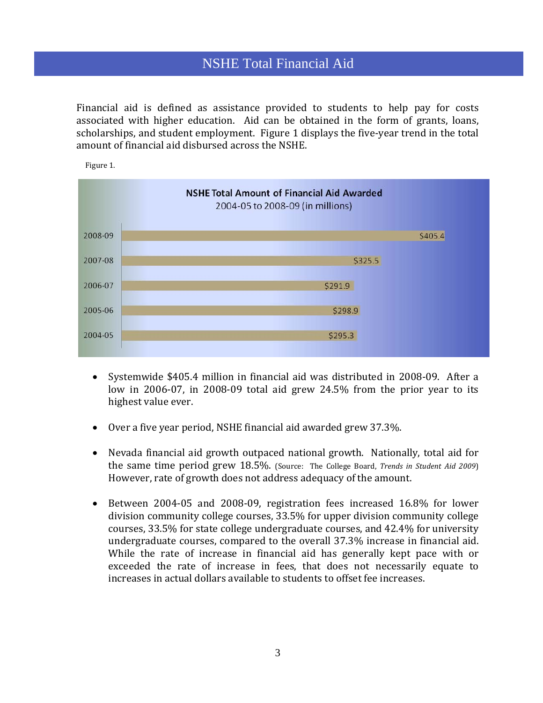# NSHE Total Financial Aid

Financial aid is defined as assistance provided to students to help pay for costs associated with higher education. Aid can be obtained in the form of grants, loans, scholarships, and student employment. Figure 1 displays the five-year trend in the total amount of financial aid disbursed across the NSHE.



Figure 1.

- Systemwide \$405.4 million in financial aid was distributed in 2008-09. After a low in 2006-07, in 2008-09 total aid grew 24.5% from the prior year to its highest value ever.
- Over a five year period, NSHE financial aid awarded grew 37.3%.
- Nevada financial aid growth outpaced national growth. Nationally, total aid for the same time period grew 18.5%. (Source: The College Board, *Trends in Student Aid 2009*) However, rate of growth does not address adequacy of the amount.
- Between 2004-05 and 2008-09, registration fees increased 16.8% for lower division community college courses, 33.5% for upper division community college courses, 33.5% for state college undergraduate courses, and 42.4% for university undergraduate courses, compared to the overall 37.3% increase in financial aid. While the rate of increase in financial aid has generally kept pace with or exceeded the rate of increase in fees, that does not necessarily equate to increases in actual dollars available to students to offset fee increases.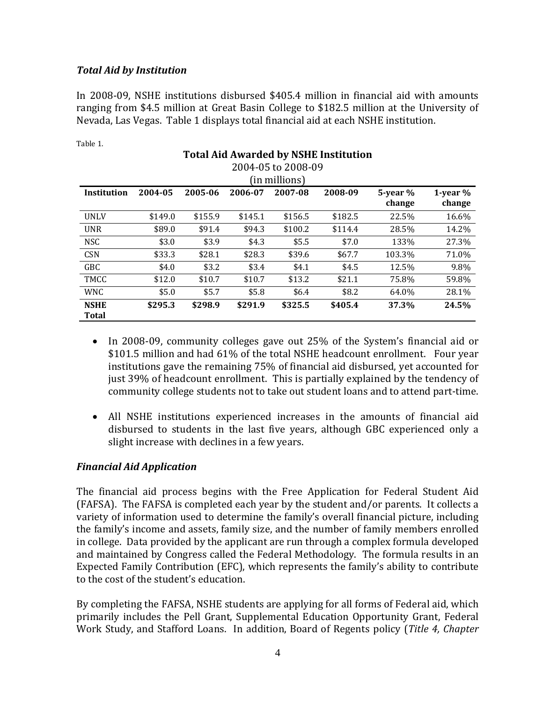## *Total Aid by Institution*

Table 1.

In 2008-09, NSHE institutions disbursed \$405.4 million in financial aid with amounts ranging from \$4.5 million at Great Basin College to \$182.5 million at the University of Nevada, Las Vegas. Table 1 displays total financial aid at each NSHE institution.

|                             | <b>Total Aid Awarded by NSHE Institution</b><br>2004-05 to 2008-09 |         |         |               |         |                         |                         |  |  |
|-----------------------------|--------------------------------------------------------------------|---------|---------|---------------|---------|-------------------------|-------------------------|--|--|
|                             |                                                                    |         |         | (in millions) |         |                         |                         |  |  |
| Institution                 | 2004-05                                                            | 2005-06 | 2006-07 | 2007-08       | 2008-09 | $5$ -year $%$<br>change | $1$ -year $%$<br>change |  |  |
| <b>UNLV</b>                 | \$149.0                                                            | \$155.9 | \$145.1 | \$156.5       | \$182.5 | 22.5%                   | 16.6%                   |  |  |
| <b>UNR</b>                  | \$89.0                                                             | \$91.4  | \$94.3  | \$100.2       | \$114.4 | 28.5%                   | 14.2%                   |  |  |
| <b>NSC</b>                  | \$3.0                                                              | \$3.9   | \$4.3   | \$5.5         | \$7.0   | 133%                    | 27.3%                   |  |  |
| <b>CSN</b>                  | \$33.3                                                             | \$28.1  | \$28.3  | \$39.6        | \$67.7  | 103.3%                  | 71.0%                   |  |  |
| <b>GBC</b>                  | \$4.0                                                              | \$3.2   | \$3.4   | \$4.1         | \$4.5   | 12.5%                   | 9.8%                    |  |  |
| TMCC                        | \$12.0                                                             | \$10.7  | \$10.7  | \$13.2        | \$21.1  | 75.8%                   | 59.8%                   |  |  |
| <b>WNC</b>                  | \$5.0                                                              | \$5.7   | \$5.8   | \$6.4         | \$8.2   | 64.0%                   | 28.1%                   |  |  |
| <b>NSHE</b><br><b>Total</b> | \$295.3                                                            | \$298.9 | \$291.9 | \$325.5       | \$405.4 | 37.3%                   | 24.5%                   |  |  |

- In 2008-09, community colleges gave out 25% of the System's financial aid or \$101.5 million and had 61% of the total NSHE headcount enrollment. Four year institutions gave the remaining 75% of financial aid disbursed, yet accounted for just 39% of headcount enrollment. This is partially explained by the tendency of community college students not to take out student loans and to attend part-time.
- All NSHE institutions experienced increases in the amounts of financial aid disbursed to students in the last five years, although GBC experienced only a slight increase with declines in a few years.

#### *Financial Aid Application*

The financial aid process begins with the Free Application for Federal Student Aid (FAFSA). The FAFSA is completed each year by the student and/or parents. It collects a variety of information used to determine the family's overall financial picture, including the family's income and assets, family size, and the number of family members enrolled in college. Data provided by the applicant are run through a complex formula developed and maintained by Congress called the Federal Methodology. The formula results in an Expected Family Contribution (EFC), which represents the family's ability to contribute to the cost of the student's education.

By completing the FAFSA, NSHE students are applying for all forms of Federal aid, which primarily includes the Pell Grant, Supplemental Education Opportunity Grant, Federal Work Study, and Stafford Loans. In addition, Board of Regents policy (*Title 4, Chapter*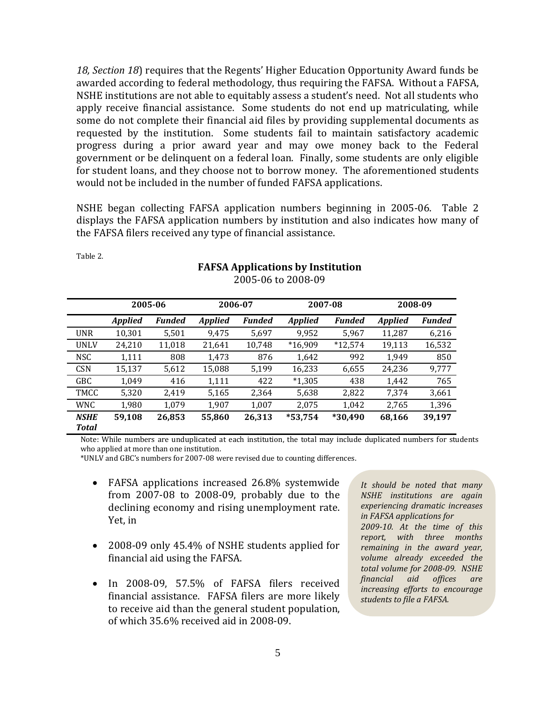*18, Section 18*) requires that the Regents' Higher Education Opportunity Award funds be awarded according to federal methodology, thus requiring the FAFSA. Without a FAFSA, NSHE institutions are not able to equitably assess a student's need. Not all students who apply receive financial assistance. Some students do not end up matriculating, while some do not complete their financial aid files by providing supplemental documents as requested by the institution. Some students fail to maintain satisfactory academic progress during a prior award year and may owe money back to the Federal government or be delinquent on a federal loan. Finally, some students are only eligible for student loans, and they choose not to borrow money. The aforementioned students would not be included in the number of funded FAFSA applications.

NSHE began collecting FAFSA application numbers beginning in 2005-06. Table 2 displays the FAFSA application numbers by institution and also indicates how many of the FAFSA filers received any type of financial assistance.

|                      | 2005-06        |               | 2006-07        |               | 2007-08        |               | 2008-09        |               |
|----------------------|----------------|---------------|----------------|---------------|----------------|---------------|----------------|---------------|
|                      | <b>Applied</b> | <b>Funded</b> | <b>Applied</b> | <b>Funded</b> | <b>Applied</b> | <b>Funded</b> | <b>Applied</b> | <b>Funded</b> |
| <b>UNR</b>           | 10.301         | 5,501         | 9.475          | 5,697         | 9,952          | 5,967         | 11,287         | 6,216         |
| <b>UNLV</b>          | 24,210         | 11,018        | 21,641         | 10,748        | $*16,909$      | $*12,574$     | 19,113         | 16,532        |
| <b>NSC</b>           | 1,111          | 808           | 1,473          | 876           | 1,642          | 992           | 1.949          | 850           |
| <b>CSN</b>           | 15,137         | 5,612         | 15,088         | 5,199         | 16,233         | 6,655         | 24,236         | 9,777         |
| GBC                  | 1,049          | 416           | 1,111          | 422           | $*1,305$       | 438           | 1,442          | 765           |
| TMCC                 | 5,320          | 2.419         | 5,165          | 2,364         | 5,638          | 2,822         | 7.374          | 3,661         |
| WNC.                 | 1,980          | 1,079         | 1,907          | 1,007         | 2,075          | 1,042         | 2,765          | 1,396         |
| <b>NSHE</b><br>Total | 59,108         | 26,853        | 55,860         | 26,313        | $*53,754$      | *30,490       | 68,166         | 39,197        |
|                      |                |               |                |               |                |               |                |               |

**FAFSA Applications by Institution** 2005-06 to 2008-09

Note: While numbers are unduplicated at each institution, the total may include duplicated numbers for students who applied at more than one institution.

\*UNLV and GBC's numbers for 2007-08 were revised due to counting differences.

Table 2.

- FAFSA applications increased 26.8% systemwide from 2007-08 to 2008-09, probably due to the declining economy and rising unemployment rate. Yet, in
- 2008-09 only 45.4% of NSHE students applied for financial aid using the FAFSA.
- In 2008-09, 57.5% of FAFSA filers received financial assistance. FAFSA filers are more likely to receive aid than the general student population, of which 35.6% received aid in 2008-09.

*It should be noted that many NSHE institutions are again experiencing dramatic increases in FAFSA applications for 2009-10. At the time of this report, with three months remaining in the award year, volume already exceeded the total volume for 2008-09. NSHE financial aid offices are increasing efforts to encourage students to file a FAFSA.*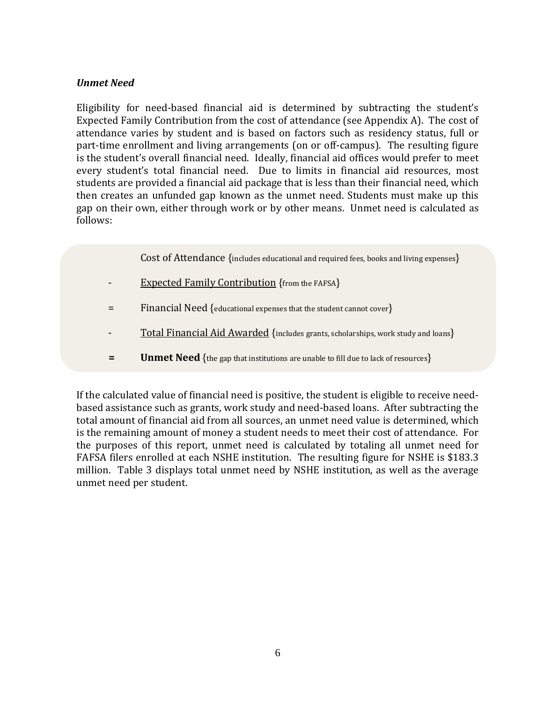#### *Unmet Need*

Eligibility for need-based financial aid is determined by subtracting the student's Expected Family Contribution from the cost of attendance (see Appendix A). The cost of attendance varies by student and is based on factors such as residency status, full or part-time enrollment and living arrangements (on or off-campus). The resulting figure is the student's overall financial need. Ideally, financial aid offices would prefer to meet every student's total financial need. Due to limits in financial aid resources, most students are provided a financial aid package that is less than their financial need, which then creates an unfunded gap known as the unmet need. Students must make up this gap on their own, either through work or by other means. Unmet need is calculated as follows:

- Cost of Attendance {includes educational and required fees, books and living expenses}
- Expected Family Contribution {from the FAFSA}
- = Financial Need {educational expenses that the student cannot cover}
- Total Financial Aid Awarded {includes grants, scholarships, work study and loans}
- **= Unmet Need** {the gap that institutions are unable to fill due to lack of resources}

If the calculated value of financial need is positive, the student is eligible to receive needbased assistance such as grants, work study and need-based loans. After subtracting the total amount of financial aid from all sources, an unmet need value is determined, which is the remaining amount of money a student needs to meet their cost of attendance. For the purposes of this report, unmet need is calculated by totaling all unmet need for FAFSA filers enrolled at each NSHE institution. The resulting figure for NSHE is \$183.3 million. Table 3 displays total unmet need by NSHE institution, as well as the average unmet need per student.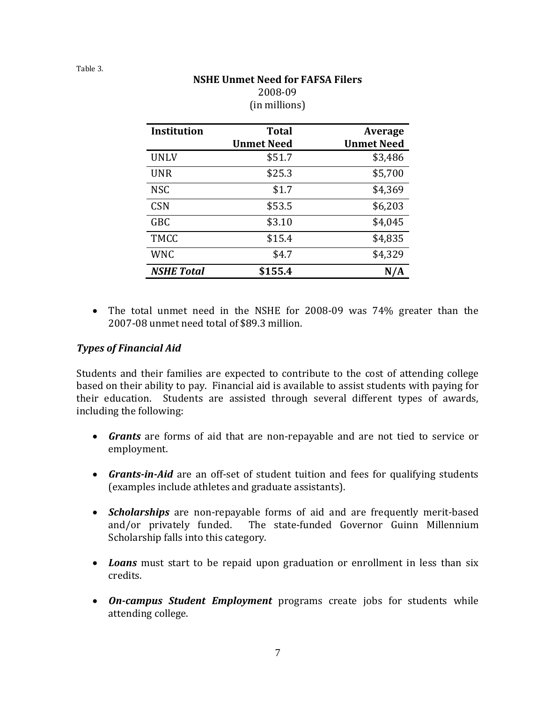| THI HIIIIIOIIS L   |                                   |                                     |  |  |  |  |  |
|--------------------|-----------------------------------|-------------------------------------|--|--|--|--|--|
| <b>Institution</b> | <b>Total</b><br><b>Unmet Need</b> | <b>Average</b><br><b>Unmet Need</b> |  |  |  |  |  |
| <b>UNLV</b>        | \$51.7                            | \$3,486                             |  |  |  |  |  |
| <b>UNR</b>         | \$25.3                            | \$5,700                             |  |  |  |  |  |
| <b>NSC</b>         | \$1.7                             | \$4,369                             |  |  |  |  |  |
| <b>CSN</b>         | \$53.5                            | \$6,203                             |  |  |  |  |  |
| <b>GBC</b>         | \$3.10                            | \$4,045                             |  |  |  |  |  |
| <b>TMCC</b>        | \$15.4                            | \$4,835                             |  |  |  |  |  |
| <b>WNC</b>         | \$4.7                             | \$4,329                             |  |  |  |  |  |
| <b>NSHE Total</b>  | \$155.4                           |                                     |  |  |  |  |  |

#### **NSHE Unmet Need for FAFSA Filers** 2008-09 (in millions)

• The total unmet need in the NSHE for 2008-09 was 74% greater than the 2007-08 unmet need total of \$89.3 million.

## *Types of Financial Aid*

Students and their families are expected to contribute to the cost of attending college based on their ability to pay. Financial aid is available to assist students with paying for their education. Students are assisted through several different types of awards, including the following:

- *Grants* are forms of aid that are non-repayable and are not tied to service or employment.
- *Grants-in-Aid* are an off-set of student tuition and fees for qualifying students (examples include athletes and graduate assistants).
- *Scholarships* are non-repayable forms of aid and are frequently merit-based and/or privately funded. The state-funded Governor Guinn Millennium Scholarship falls into this category.
- *Loans* must start to be repaid upon graduation or enrollment in less than six credits.
- *On-campus Student Employment* programs create jobs for students while attending college.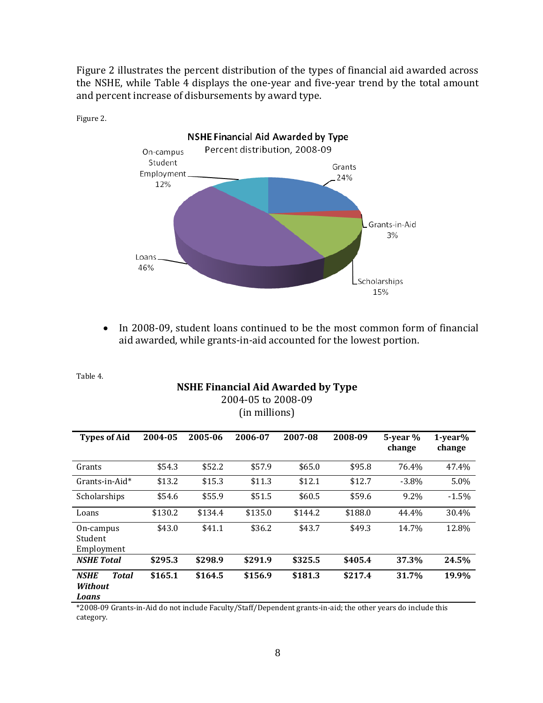Figure 2 illustrates the percent distribution of the types of financial aid awarded across the NSHE, while Table 4 displays the one-year and five-year trend by the total amount and percent increase of disbursements by award type.



• In 2008-09, student loans continued to be the most common form of financial aid awarded, while grants-in-aid accounted for the lowest portion.

Table 4.

#### **NSHE Financial Aid Awarded by Type** 2004-05 to 2008-09 (in millions)

| <b>Types of Aid</b>                                    | 2004-05 | 2005-06 | 2006-07 | 2007-08 | 2008-09 | $5$ -year $%$<br>change | $1-year%$<br>change |
|--------------------------------------------------------|---------|---------|---------|---------|---------|-------------------------|---------------------|
| Grants                                                 | \$54.3  | \$52.2  | \$57.9  | \$65.0  | \$95.8  | 76.4%                   | 47.4%               |
| $Grants-in-Aid*$                                       | \$13.2  | \$15.3  | \$11.3  | \$12.1  | \$12.7  | $-3.8\%$                | 5.0%                |
| Scholarships                                           | \$54.6  | \$55.9  | \$51.5  | \$60.5  | \$59.6  | 9.2%                    | $-1.5%$             |
| Loans                                                  | \$130.2 | \$134.4 | \$135.0 | \$144.2 | \$188.0 | 44.4%                   | 30.4%               |
| On-campus<br>Student<br>Employment                     | \$43.0  | \$41.1  | \$36.2  | \$43.7  | \$49.3  | 14.7%                   | 12.8%               |
| <b>NSHE Total</b>                                      | \$295.3 | \$298.9 | \$291.9 | \$325.5 | \$405.4 | 37.3%                   | 24.5%               |
| <b>Total</b><br><b>NSHE</b><br><b>Without</b><br>Loans | \$165.1 | \$164.5 | \$156.9 | \$181.3 | \$217.4 | 31.7%                   | 19.9%               |

\*2008-09 Grants-in-Aid do not include Faculty/Staff/Dependent grants-in-aid; the other years do include this category.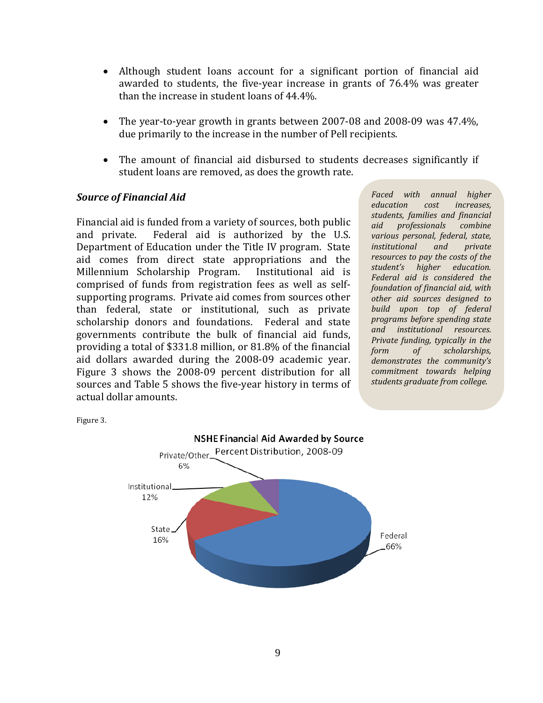- Although student loans account for a significant portion of financial aid awarded to students, the five-year increase in grants of 76.4% was greater than the increase in student loans of 44.4%.
- The year-to-year growth in grants between 2007-08 and 2008-09 was 47.4%, due primarily to the increase in the number of Pell recipients.
- The amount of financial aid disbursed to students decreases significantly if student loans are removed, as does the growth rate.

#### *Source of Financial Aid*

Financial aid is funded from a variety of sources, both public<br>and private. Federal aid is authorized by the U.S. Federal aid is authorized by the U.S. Department of Education under the Title IV program. State aid comes from direct state appropriations and the Millennium Scholarship Program. Institutional aid is Millennium Scholarship Program. comprised of funds from registration fees as well as selfsupporting programs. Private aid comes from sources other than federal, state or institutional, such as private scholarship donors and foundations. Federal and state governments contribute the bulk of financial aid funds, providing a total of \$331.8 million, or 81.8% of the financial aid dollars awarded during the 2008-09 academic year. Figure 3 shows the 2008-09 percent distribution for all sources and Table 5 shows the five-year history in terms of actual dollar amounts.

*Faced with annual higher education cost increases, students, families and financial aid professionals combine various personal, federal, state, institutional and private resources to pay the costs of the student's higher education. Federal aid is considered the foundation of financial aid, with other aid sources designed to build upon top of federal programs before spending state and institutional resources. Private funding, typically in the form of scholarships, demonstrates the community's commitment towards helping students graduate from college.*



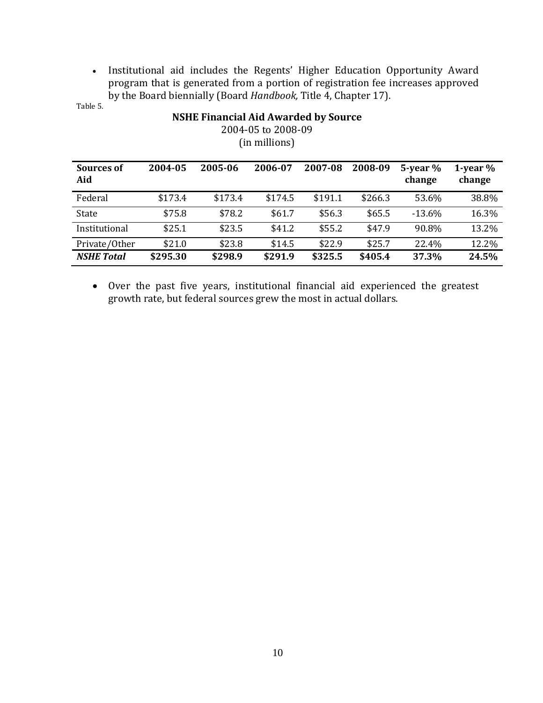• Institutional aid includes the Regents' Higher Education Opportunity Award program that is generated from a portion of registration fee increases approved by the Board biennially (Board *Handbook,* Title 4, Chapter 17).

Table 5.

| $\mathcal{L}$ . The set of the set of $\mathcal{L}$<br>(in millions) |          |         |         |         |         |                         |                      |  |
|----------------------------------------------------------------------|----------|---------|---------|---------|---------|-------------------------|----------------------|--|
| Sources of<br>Aid                                                    | 2004-05  | 2005-06 | 2006-07 | 2007-08 | 2008-09 | $5$ -year $%$<br>change | 1-year $%$<br>change |  |
| Federal                                                              | \$173.4  | \$173.4 | \$174.5 | \$191.1 | \$266.3 | 53.6%                   | 38.8%                |  |
| State                                                                | \$75.8   | \$78.2  | \$61.7  | \$56.3  | \$65.5  | $-13.6%$                | 16.3%                |  |
| Institutional                                                        | \$25.1   | \$23.5  | \$41.2  | \$55.2  | \$47.9  | 90.8%                   | 13.2%                |  |
| Private/Other                                                        | \$21.0   | \$23.8  | \$14.5  | \$22.9  | \$25.7  | 22.4%                   | 12.2%                |  |
| <b>NSHE Total</b>                                                    | \$295.30 | \$298.9 | \$291.9 | \$325.5 | \$405.4 | 37.3%                   | 24.5%                |  |

**NSHE Financial Aid Awarded by Source** 2004-05 to 2008-09

• Over the past five years, institutional financial aid experienced the greatest growth rate, but federal sources grew the most in actual dollars.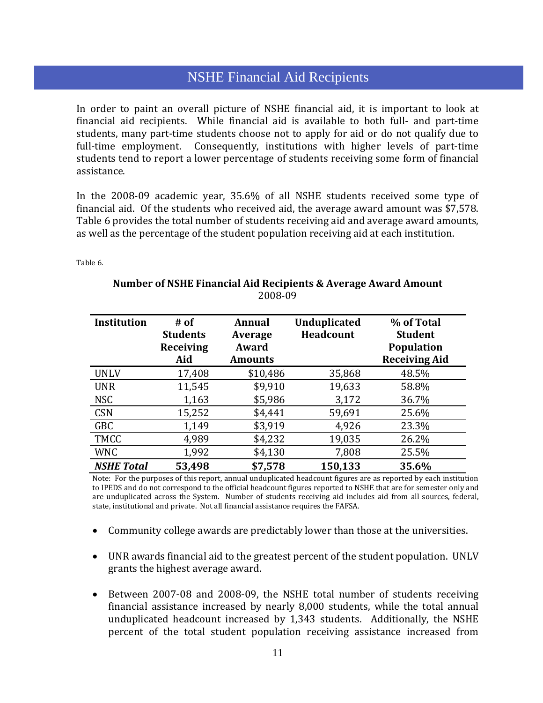## • Private/other scholarships remained constant until 2007-08, again due to the to the to the to the to the to the to the to the to the to the to the to the to the to the to the to the to the to the to the to the to the to aforementioned methodology change in scholarship reporting. NSHE Financial Aid Recipients.

In order to paint an overall picture of NSHE financial aid, it is important to look at financial aid recipients. While financial aid is available to both full- and part-time students, many part-time students choose not to apply for aid or do not qualify due to full-time employment. Consequently, institutions with higher levels of part-time students tend to report a lower percentage of students receiving some form of financial assistance.

In the 2008-09 academic year, 35.6% of all NSHE students received some type of financial aid. Of the students who received aid, the average award amount was \$7,578. Table 6 provides the total number of students receiving aid and average award amounts, as well as the percentage of the student population receiving aid at each institution.

Table 6.

| <b>Institution</b> | $#$ of<br><b>Students</b><br>Receiving<br>Aid | <b>Annual</b><br>Average<br>Award<br><b>Amounts</b> | <b>Unduplicated</b><br><b>Headcount</b> | % of Total<br><b>Student</b><br><b>Population</b><br><b>Receiving Aid</b> |
|--------------------|-----------------------------------------------|-----------------------------------------------------|-----------------------------------------|---------------------------------------------------------------------------|
| <b>UNLV</b>        | 17,408                                        | \$10,486                                            | 35,868                                  | 48.5%                                                                     |
| <b>UNR</b>         | 11,545                                        | \$9,910                                             | 19,633                                  | 58.8%                                                                     |
| <b>NSC</b>         | 1,163                                         | \$5,986                                             | 3,172                                   | 36.7%                                                                     |
| <b>CSN</b>         | 15,252                                        | \$4,441                                             | 59,691                                  | 25.6%                                                                     |
| <b>GBC</b>         | 1,149                                         | \$3,919                                             | 4,926                                   | 23.3%                                                                     |
| <b>TMCC</b>        | 4,989                                         | \$4,232                                             | 19,035                                  | 26.2%                                                                     |
| <b>WNC</b>         | 1,992                                         | \$4,130                                             | 7,808                                   | 25.5%                                                                     |
| <b>NSHE Total</b>  | 53,498                                        | \$7,578                                             | 150,133                                 | 35.6%                                                                     |

#### **Number of NSHE Financial Aid Recipients & Average Award Amount** 2008-09

Note: For the purposes of this report, annual unduplicated headcount figures are as reported by each institution to IPEDS and do not correspond to the official headcount figures reported to NSHE that are for semester only and are unduplicated across the System. Number of students receiving aid includes aid from all sources, federal, state, institutional and private. Not all financial assistance requires the FAFSA.

- Community college awards are predictably lower than those at the universities.
- UNR awards financial aid to the greatest percent of the student population. UNLV grants the highest average award.
- Between 2007-08 and 2008-09, the NSHE total number of students receiving financial assistance increased by nearly 8,000 students, while the total annual unduplicated headcount increased by 1,343 students. Additionally, the NSHE percent of the total student population receiving assistance increased from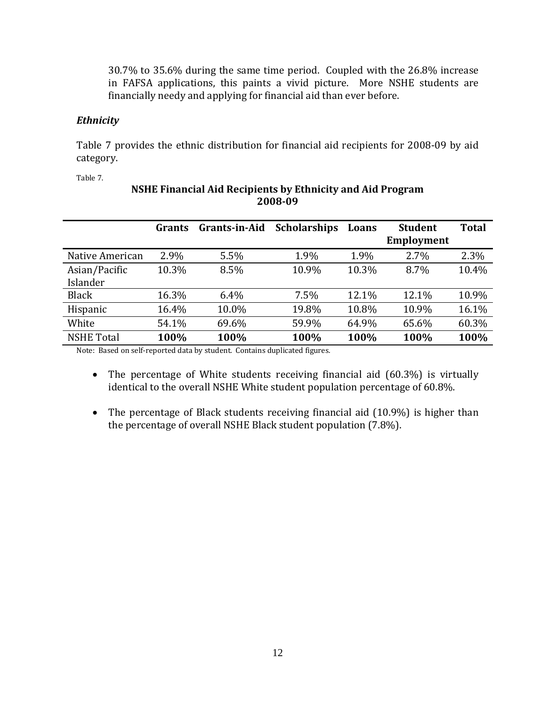30.7% to 35.6% during the same time period. Coupled with the 26.8% increase in FAFSA applications, this paints a vivid picture. More NSHE students are financially needy and applying for financial aid than ever before.

#### *Ethnicity*

Table 7 provides the ethnic distribution for financial aid recipients for 2008-09 by aid category.

Table 7.

|                           | Grants | <b>Grants-in-Aid</b> | <b>Scholarships</b> | Loans | <b>Student</b><br><b>Employment</b> | <b>Total</b> |
|---------------------------|--------|----------------------|---------------------|-------|-------------------------------------|--------------|
| Native American           | 2.9%   | 5.5%                 | 1.9%                | 1.9%  | $2.7\%$                             | 2.3%         |
| Asian/Pacific<br>Islander | 10.3%  | 8.5%                 | 10.9%               | 10.3% | 8.7%                                | 10.4%        |
| <b>Black</b>              | 16.3%  | 6.4%                 | 7.5%                | 12.1% | 12.1%                               | 10.9%        |
| Hispanic                  | 16.4%  | 10.0%                | 19.8%               | 10.8% | 10.9%                               | 16.1%        |
| White                     | 54.1%  | 69.6%                | 59.9%               | 64.9% | 65.6%                               | 60.3%        |
| <b>NSHE Total</b>         | 100%   | 100%                 | 100%                | 100%  | 100%                                | 100%         |

## **NSHE Financial Aid Recipients by Ethnicity and Aid Program 2008-09**

Note: Based on self-reported data by student. Contains duplicated figures.

- The percentage of White students receiving financial aid (60.3%) is virtually identical to the overall NSHE White student population percentage of 60.8%.
- The percentage of Black students receiving financial aid (10.9%) is higher than the percentage of overall NSHE Black student population (7.8%).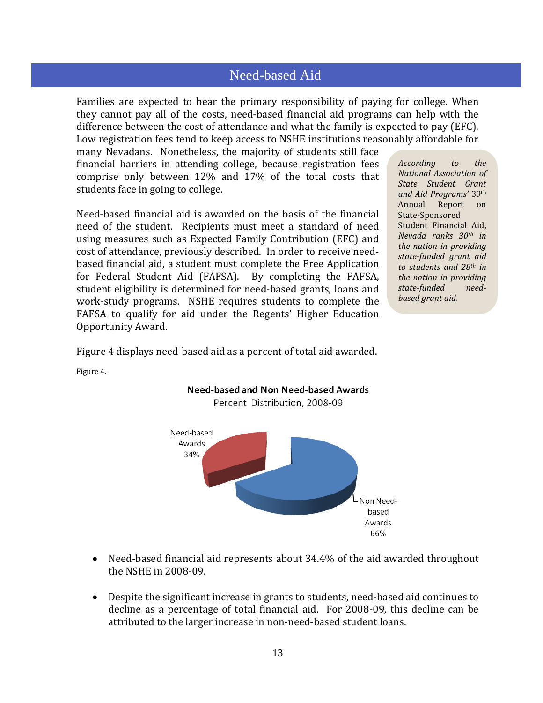# Need-based Aid

Families are expected to bear the primary responsibility of paying for college. When they cannot pay all of the costs, need-based financial aid programs can help with the difference between the cost of attendance and what the family is expected to pay (EFC). Low registration fees tend to keep access to NSHE institutions reasonably affordable for

many Nevadans. Nonetheless, the majority of students still face financial barriers in attending college, because registration fees comprise only between 12% and 17% of the total costs that students face in going to college.

Need-based financial aid is awarded on the basis of the financial need of the student. Recipients must meet a standard of need using measures such as Expected Family Contribution (EFC) and cost of attendance, previously described. In order to receive needbased financial aid, a student must complete the Free Application for Federal Student Aid (FAFSA). By completing the FAFSA, student eligibility is determined for need-based grants, loans and work-study programs. NSHE requires students to complete the FAFSA to qualify for aid under the Regents' Higher Education Opportunity Award.

*According to the National Association of State Student Grant and Aid Programs'* 39th Report State-Sponsored Student Financial Aid, *Nevada ranks 30th in the nation in providing state-funded grant aid to students and 28th in the nation in providing state-funded needbased grant aid.*

Figure 4 displays need-based aid as a percent of total aid awarded.

Figure 4.



- Need-based financial aid represents about 34.4% of the aid awarded throughout the NSHE in 2008-09.
- Despite the significant increase in grants to students, need-based aid continues to decline as a percentage of total financial aid. For 2008-09, this decline can be attributed to the larger increase in non-need-based student loans.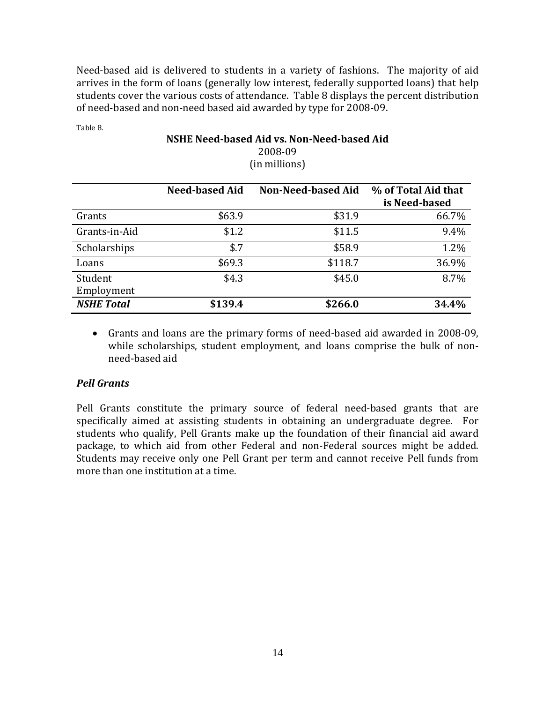Need-based aid is delivered to students in a variety of fashions. The majority of aid arrives in the form of loans (generally low interest, federally supported loans) that help students cover the various costs of attendance. Table 8 displays the percent distribution of need-based and non-need based aid awarded by type for 2008-09.

Table 8.

## **NSHE Need-based Aid vs. Non-Need-based Aid**  2008-09 (in millions)

|                       | <b>Need-based Aid</b> | Non-Need-based Aid | % of Total Aid that<br>is Need-based |
|-----------------------|-----------------------|--------------------|--------------------------------------|
| Grants                | \$63.9                | \$31.9             | 66.7%                                |
| Grants-in-Aid         | \$1.2                 | \$11.5             | 9.4%                                 |
| Scholarships          | \$.7                  | \$58.9             | 1.2%                                 |
| Loans                 | \$69.3                | \$118.7            | 36.9%                                |
| Student<br>Employment | \$4.3                 | \$45.0             | 8.7%                                 |
| <b>NSHE Total</b>     | \$139.4               | \$266.0            | 34.4%                                |

• Grants and loans are the primary forms of need-based aid awarded in 2008-09, while scholarships, student employment, and loans comprise the bulk of nonneed-based aid

#### *Pell Grants*

Pell Grants constitute the primary source of federal need-based grants that are specifically aimed at assisting students in obtaining an undergraduate degree. For students who qualify, Pell Grants make up the foundation of their financial aid award package, to which aid from other Federal and non-Federal sources might be added. Students may receive only one Pell Grant per term and cannot receive Pell funds from more than one institution at a time.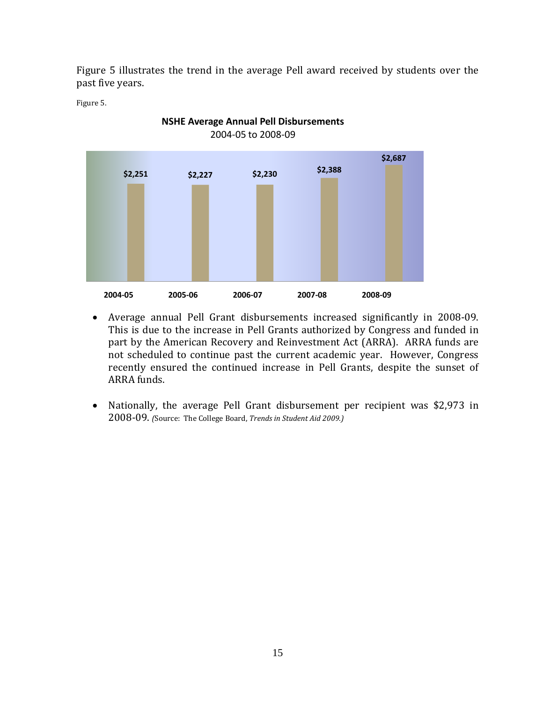Figure 5 illustrates the trend in the average Pell award received by students over the past five years.

Figure 5.



**NSHE Average Annual Pell Disbursements**

- Average annual Pell Grant disbursements increased significantly in 2008-09. This is due to the increase in Pell Grants authorized by Congress and funded in part by the American Recovery and Reinvestment Act (ARRA). ARRA funds are not scheduled to continue past the current academic year. However, Congress recently ensured the continued increase in Pell Grants, despite the sunset of ARRA funds.
- Nationally, the average Pell Grant disbursement per recipient was \$2,973 in 2008-09. *(*Source: The College Board, *Trends in Student Aid 2009.)*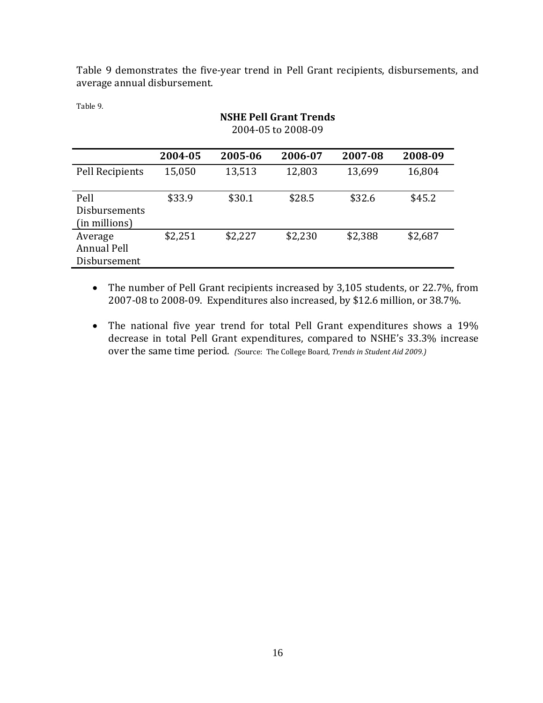Table 9 demonstrates the five-year trend in Pell Grant recipients, disbursements, and average annual disbursement.

**NSHE Pell Grant Trends**

Table 9.

|                                        | 2004-05 to 2008-09 |         |         |         |         |  |  |
|----------------------------------------|--------------------|---------|---------|---------|---------|--|--|
|                                        | 2004-05            | 2005-06 | 2006-07 | 2007-08 | 2008-09 |  |  |
| Pell Recipients                        | 15,050             | 13,513  | 12,803  | 13,699  | 16,804  |  |  |
| Pell<br>Disbursements<br>(in millions) | \$33.9             | \$30.1  | \$28.5  | \$32.6  | \$45.2  |  |  |
| Average<br>Annual Pell<br>Disbursement | \$2,251            | \$2,227 | \$2,230 | \$2,388 | \$2,687 |  |  |

• The number of Pell Grant recipients increased by 3,105 students, or 22.7%, from 2007-08 to 2008-09. Expenditures also increased, by \$12.6 million, or 38.7%.

• The national five year trend for total Pell Grant expenditures shows a 19% decrease in total Pell Grant expenditures, compared to NSHE's 33.3% increase over the same time period. *(*Source: The College Board, *Trends in Student Aid 2009.)*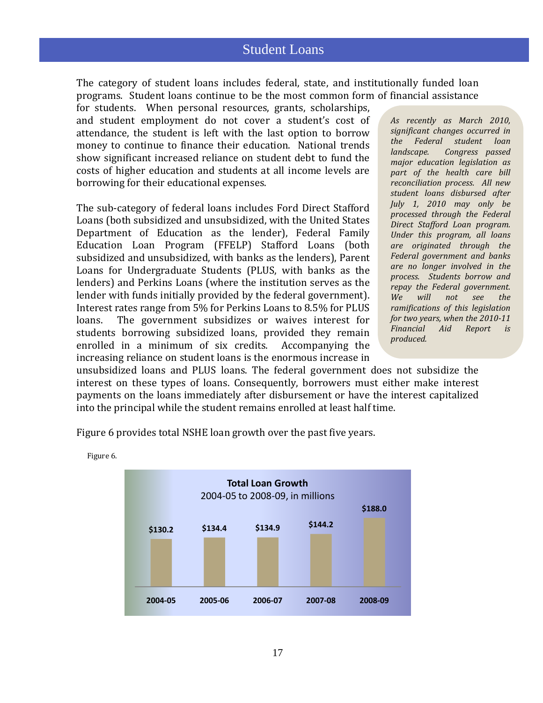## Student Loans

The category of student loans includes federal, state, and institutionally funded loan programs. Student loans continue to be the most common form of financial assistance

for students. When personal resources, grants, scholarships, and student employment do not cover a student's cost of attendance, the student is left with the last option to borrow money to continue to finance their education. National trends show significant increased reliance on student debt to fund the costs of higher education and students at all income levels are borrowing for their educational expenses.

The sub-category of federal loans includes Ford Direct Stafford Loans (both subsidized and unsubsidized, with the United States Department of Education as the lender), Federal Family Education Loan Program (FFELP) Stafford Loans (both subsidized and unsubsidized, with banks as the lenders), Parent Loans for Undergraduate Students (PLUS, with banks as the lenders) and Perkins Loans (where the institution serves as the lender with funds initially provided by the federal government). Interest rates range from 5% for Perkins Loans to 8.5% for PLUS<br>loans. The government subsidizes or waives interest for The government subsidizes or waives interest for students borrowing subsidized loans, provided they remain enrolled in a minimum of six credits. Accompanying the enrolled in a minimum of six credits. increasing reliance on student loans is the enormous increase in

*As recently as March 2010, significant changes occurred in the Federal student loan landscape. Congress passed major education legislation as part of the health care bill reconciliation process. All new student loans disbursed after July 1, 2010 may only be processed through the Federal Direct Stafford Loan program. Under this program, all loans are originated through the Federal government and banks are no longer involved in the process. Students borrow and repay the Federal government. We will not see the ramifications of this legislation for two years, when the 2010-11 Financial Aid Report is produced.*

unsubsidized loans and PLUS loans. The federal government does not subsidize the interest on these types of loans. Consequently, borrowers must either make interest payments on the loans immediately after disbursement or have the interest capitalized into the principal while the student remains enrolled at least half time.

Figure 6 provides total NSHE loan growth over the past five years.



Figure 6.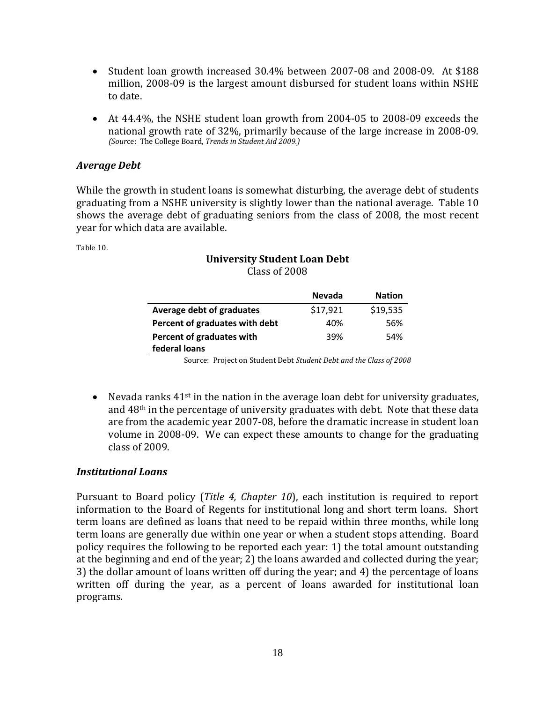- Student loan growth increased 30.4% between 2007-08 and 2008-09. At \$188 million, 2008-09 is the largest amount disbursed for student loans within NSHE to date.
- At 44.4%, the NSHE student loan growth from 2004-05 to 2008-09 exceeds the national growth rate of 32%, primarily because of the large increase in 2008-09. *(Sour*ce: The College Board, *Trends in Student Aid 2009.)*

#### *Average Debt*

While the growth in student loans is somewhat disturbing, the average debt of students graduating from a NSHE university is slightly lower than the national average. Table 10 shows the average debt of graduating seniors from the class of 2008, the most recent year for which data are available.

Table 10.

#### **University Student Loan Debt** Class of 2008

|                                | <b>Nevada</b> | <b>Nation</b> |
|--------------------------------|---------------|---------------|
| Average debt of graduates      | \$17,921      | \$19,535      |
| Percent of graduates with debt | 40%           | 56%           |
| Percent of graduates with      | 39%           | 54%           |
| federal loans                  |               |               |

Source: Project on Student Debt *Student Debt and the Class of 2008*

• Nevada ranks  $41^{st}$  in the nation in the average loan debt for university graduates, and  $48<sup>th</sup>$  in the percentage of university graduates with debt. Note that these data are from the academic year 2007-08, before the dramatic increase in student loan volume in 2008-09. We can expect these amounts to change for the graduating class of 2009.

#### *Institutional Loans*

Pursuant to Board policy (*Title 4, Chapter 10*), each institution is required to report information to the Board of Regents for institutional long and short term loans. Short term loans are defined as loans that need to be repaid within three months, while long term loans are generally due within one year or when a student stops attending. Board policy requires the following to be reported each year: 1) the total amount outstanding at the beginning and end of the year; 2) the loans awarded and collected during the year; 3) the dollar amount of loans written off during the year; and 4) the percentage of loans written off during the year, as a percent of loans awarded for institutional loan programs.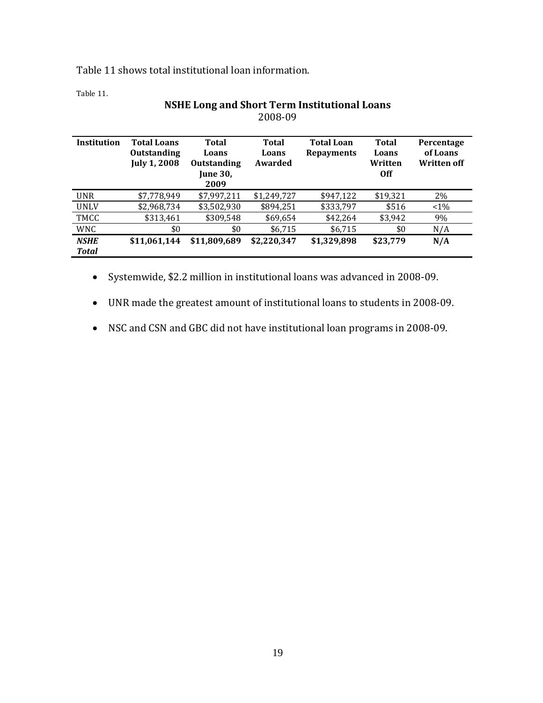Table 11 shows total institutional loan information.

Table 11.

|                             |                                                                 |                                                                        | 2008-09                   |                                        |                                                |                                              |
|-----------------------------|-----------------------------------------------------------------|------------------------------------------------------------------------|---------------------------|----------------------------------------|------------------------------------------------|----------------------------------------------|
| Institution                 | <b>Total Loans</b><br><b>Outstanding</b><br><b>July 1, 2008</b> | <b>Total</b><br>Loans<br><b>Outstanding</b><br><b>June 30.</b><br>2009 | Total<br>Loans<br>Awarded | <b>Total Loan</b><br><b>Repayments</b> | <b>Total</b><br>Loans<br>Written<br><b>Off</b> | Percentage<br>of Loans<br><b>Written off</b> |
| <b>UNR</b>                  | \$7,778,949                                                     | \$7,997,211                                                            | \$1,249,727               | \$947,122                              | \$19,321                                       | 2%                                           |
| <b>UNLV</b>                 | \$2,968,734                                                     | \$3,502,930                                                            | \$894,251                 | \$333,797                              | \$516                                          | $1\%$                                        |
| TMCC                        | \$313,461                                                       | \$309,548                                                              | \$69,654                  | \$42,264                               | \$3,942                                        | 9%                                           |
| <b>WNC</b>                  | \$0                                                             | \$0                                                                    | \$6,715                   | \$6,715                                | \$0                                            | N/A                                          |
| <b>NSHE</b><br><b>Total</b> | \$11,061,144                                                    | \$11,809,689                                                           | \$2,220,347               | \$1,329,898                            | \$23,779                                       | N/A                                          |

# **NSHE Long and Short Term Institutional Loans**

- Systemwide, \$2.2 million in institutional loans was advanced in 2008-09.
- UNR made the greatest amount of institutional loans to students in 2008-09.
- NSC and CSN and GBC did not have institutional loan programs in 2008-09.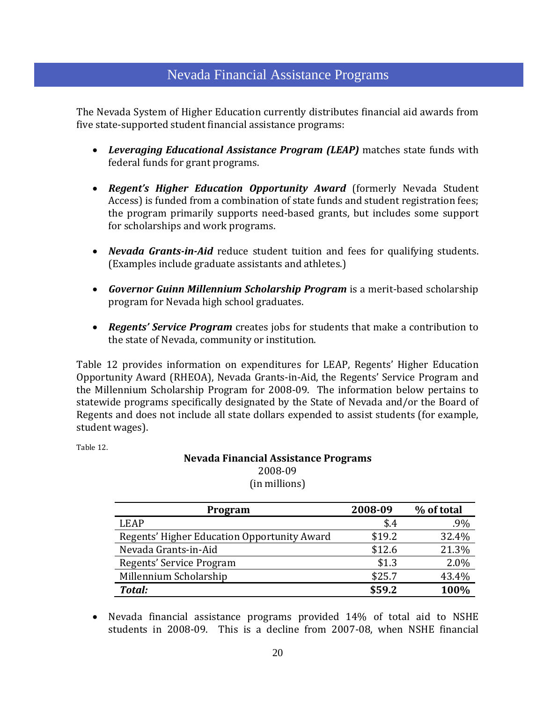# Nevada Financial Assistance Programs

 Attendance The Nevada System of Higher Education currently distributes financial aid awards from five state-supported student financial assistance programs:

- *Leveraging Educational Assistance Program (LEAP)* matches state funds with federal funds for grant programs.
- *Regent's Higher Education Opportunity Award* (formerly Nevada Student Access) is funded from a combination of state funds and student registration fees; the program primarily supports need-based grants, but includes some support for scholarships and work programs.
- *Nevada Grants-in-Aid* reduce student tuition and fees for qualifying students. (Examples include graduate assistants and athletes.)
- *Governor Guinn Millennium Scholarship Program* is a merit-based scholarship program for Nevada high school graduates.
- *Regents' Service Program* creates jobs for students that make a contribution to the state of Nevada, community or institution.

Table 12 provides information on expenditures for LEAP, Regents' Higher Education Opportunity Award (RHEOA), Nevada Grants-in-Aid, the Regents' Service Program and the Millennium Scholarship Program for 2008-09. The information below pertains to statewide programs specifically designated by the State of Nevada and/or the Board of Regents and does not include all state dollars expended to assist students (for example, student wages).

Table 12.

#### **Nevada Financial Assistance Programs** 2008-09 (in millions)

| Program                                     | 2008-09 | % of total |
|---------------------------------------------|---------|------------|
| <b>LEAP</b>                                 | \$.4    | .9%        |
| Regents' Higher Education Opportunity Award | \$19.2  | 32.4%      |
| Nevada Grants-in-Aid                        | \$12.6  | 21.3%      |
| Regents' Service Program                    | \$1.3   | 2.0%       |
| Millennium Scholarship                      | \$25.7  | 43.4%      |
| Total:                                      | \$59.2  | 100%       |

• Nevada financial assistance programs provided 14% of total aid to NSHE students in 2008-09. This is a decline from 2007-08, when NSHE financial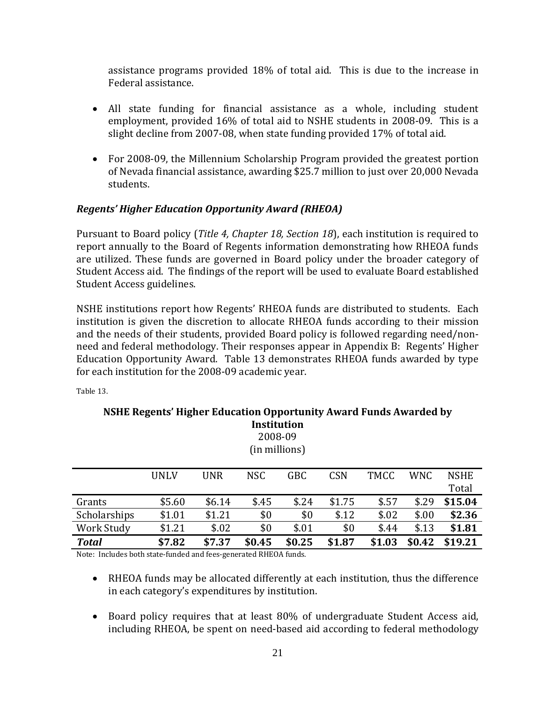assistance programs provided 18% of total aid. This is due to the increase in Federal assistance.

- All state funding for financial assistance as a whole, including student employment, provided 16% of total aid to NSHE students in 2008-09. This is a slight decline from 2007-08, when state funding provided 17% of total aid.
- For 2008-09, the Millennium Scholarship Program provided the greatest portion of Nevada financial assistance, awarding \$25.7 million to just over 20,000 Nevada students.

## *Regents' Higher Education Opportunity Award (RHEOA)*

Pursuant to Board policy (*Title 4, Chapter 18, Section 18*), each institution is required to report annually to the Board of Regents information demonstrating how RHEOA funds are utilized. These funds are governed in Board policy under the broader category of Student Access aid. The findings of the report will be used to evaluate Board established Student Access guidelines.

NSHE institutions report how Regents' RHEOA funds are distributed to students. Each institution is given the discretion to allocate RHEOA funds according to their mission and the needs of their students, provided Board policy is followed regarding need/nonneed and federal methodology. Their responses appear in Appendix B: Regents' Higher Education Opportunity Award. Table 13 demonstrates RHEOA funds awarded by type for each institution for the 2008-09 academic year.

| <b>Institution</b><br>2008-09<br>(in millions) |             |                        |            |        |            |        |            |             |
|------------------------------------------------|-------------|------------------------|------------|--------|------------|--------|------------|-------------|
|                                                | <b>UNLV</b> | <b>UNR</b>             | <b>NSC</b> | GBC    | <b>CSN</b> | TMCC   | <b>WNC</b> | <b>NSHE</b> |
|                                                |             |                        |            |        |            |        |            | Total       |
| Grants                                         | \$5.60      | \$6.14                 | \$.45      | \$.24  | \$1.75     | \$.57  | \$.29      | \$15.04     |
| Scholarships                                   | \$1.01      | \$1.21                 | \$0        | \$0    | \$.12      | \$.02  | \$.00      | \$2.36      |
| Work Study                                     | \$1.21      | \$.02                  | \$0        | \$.01  | \$0        | \$.44  | \$.13      | \$1.81      |
| <b>Total</b>                                   | \$7.82      | \$7.37<br>$\mathbf{r}$ | \$0.45     | \$0.25 | \$1.87     | \$1.03 | \$0.42     | \$19.21     |

Table 13.

**NSHE Regents' Higher Education Opportunity Award Funds Awarded by** 

Note: Includes both state-funded and fees-generated RHEOA funds.

- RHEOA funds may be allocated differently at each institution, thus the difference in each category's expenditures by institution.
- Board policy requires that at least 80% of undergraduate Student Access aid, including RHEOA, be spent on need-based aid according to federal methodology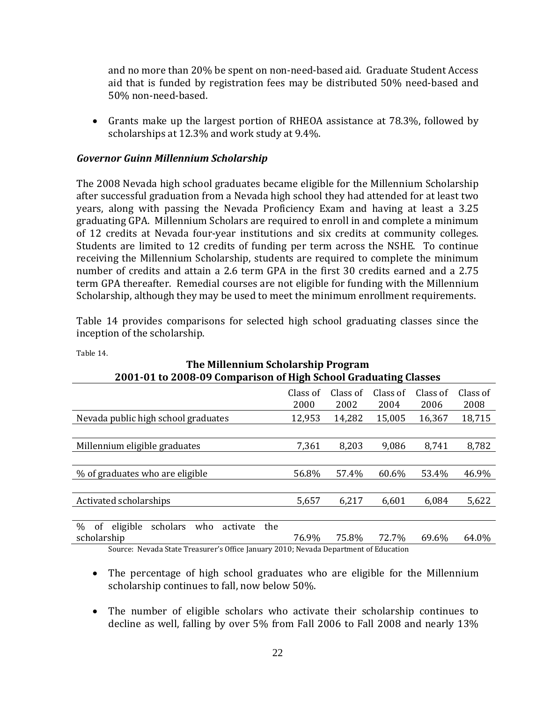and no more than 20% be spent on non-need-based aid. Graduate Student Access aid that is funded by registration fees may be distributed 50% need-based and 50% non-need-based.

• Grants make up the largest portion of RHEOA assistance at 78.3%, followed by scholarships at 12.3% and work study at 9.4%.

#### *Governor Guinn Millennium Scholarship*

The 2008 Nevada high school graduates became eligible for the Millennium Scholarship after successful graduation from a Nevada high school they had attended for at least two years, along with passing the Nevada Proficiency Exam and having at least a 3.25 graduating GPA. Millennium Scholars are required to enroll in and complete a minimum of 12 credits at Nevada four-year institutions and six credits at community colleges. Students are limited to 12 credits of funding per term across the NSHE. To continue receiving the Millennium Scholarship, students are required to complete the minimum number of credits and attain a 2.6 term GPA in the first 30 credits earned and a 2.75 term GPA thereafter. Remedial courses are not eligible for funding with the Millennium Scholarship, although they may be used to meet the minimum enrollment requirements.

Table 14 provides comparisons for selected high school graduating classes since the inception of the scholarship.

**The Millennium Scholarship Program**

| THE MILLENNIQUI SCHOLAI SIND I TUBLAIN                                |                  |                  |                  |                  |                  |  |  |  |
|-----------------------------------------------------------------------|------------------|------------------|------------------|------------------|------------------|--|--|--|
| 2001-01 to 2008-09 Comparison of High School Graduating Classes       |                  |                  |                  |                  |                  |  |  |  |
|                                                                       | Class of<br>2000 | Class of<br>2002 | Class of<br>2004 | Class of<br>2006 | Class of<br>2008 |  |  |  |
| Nevada public high school graduates                                   | 12,953           | 14,282           | 15,005           | 16,367           | 18,715           |  |  |  |
|                                                                       |                  |                  |                  |                  |                  |  |  |  |
| Millennium eligible graduates                                         | 7,361            | 8,203            | 9,086            | 8,741            | 8,782            |  |  |  |
|                                                                       |                  |                  |                  |                  |                  |  |  |  |
| % of graduates who are eligible                                       | 56.8%            | 57.4%            | 60.6%            | 53.4%            | 46.9%            |  |  |  |
|                                                                       |                  |                  |                  |                  |                  |  |  |  |
| Activated scholarships                                                | 5,657            | 6,217            | 6,601            | 6,084            | 5,622            |  |  |  |
|                                                                       |                  |                  |                  |                  |                  |  |  |  |
| $\frac{0}{0}$<br>eligible<br>scholars<br>the<br>0f<br>activate<br>who |                  |                  |                  |                  |                  |  |  |  |
| scholarship                                                           | 76.9%            | 75.8%            | 72.7%            | 69.6%            | 64.0%            |  |  |  |

Table 14.

Source: Nevada State Treasurer's Office January 2010; Nevada Department of Education

- The percentage of high school graduates who are eligible for the Millennium scholarship continues to fall, now below 50%.
- The number of eligible scholars who activate their scholarship continues to decline as well, falling by over 5% from Fall 2006 to Fall 2008 and nearly 13%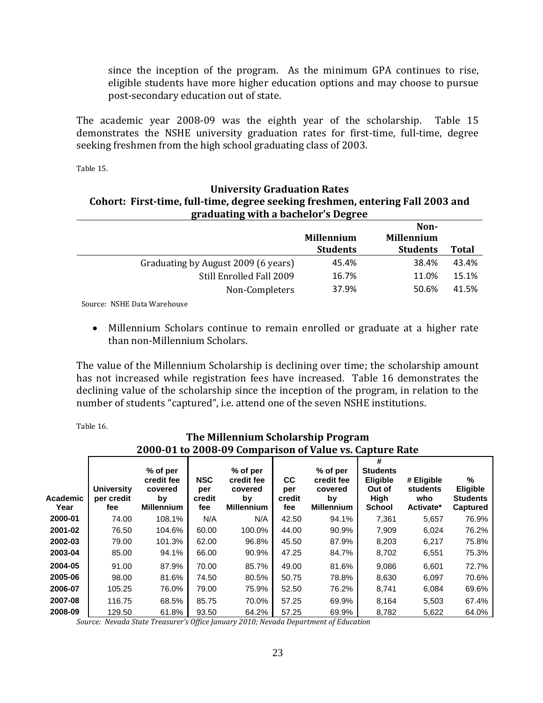since the inception of the program. As the minimum GPA continues to rise, eligible students have more higher education options and may choose to pursue post-secondary education out of state.

The academic year 2008-09 was the eighth year of the scholarship. Table 15 demonstrates the NSHE university graduation rates for first-time, full-time, degree seeking freshmen from the high school graduating class of 2003.

Table 15.

#### **University Graduation Rates Cohort: First-time, full-time, degree seeking freshmen, entering Fall 2003 and graduating with a bachelor's Degree Non-**

|                                     |                   | NON-              |              |
|-------------------------------------|-------------------|-------------------|--------------|
|                                     | <b>Millennium</b> | <b>Millennium</b> |              |
|                                     | <b>Students</b>   | <b>Students</b>   | <b>Total</b> |
| Graduating by August 2009 (6 years) | 45.4%             | 38.4%             | 43.4%        |
| Still Enrolled Fall 2009            | 16.7%             | 11.0%             | 15.1%        |
| Non-Completers                      | 37.9%             | 50.6%             | 41.5%        |
|                                     |                   |                   |              |

Source: NSHE Data Warehouse

• Millennium Scholars continue to remain enrolled or graduate at a higher rate than non-Millennium Scholars.

The value of the Millennium Scholarship is declining over time; the scholarship amount has not increased while registration fees have increased. Table 16 demonstrates the declining value of the scholarship since the inception of the program, in relation to the number of students "captured", i.e. attend one of the seven NSHE institutions.

Table 16.

## **The Millennium Scholarship Program 2000-01 to 2008-09 Comparison of Value vs. Capture Rate**

| Academic<br>Year | <b>University</b><br>per credit<br>fee | % of per<br>credit fee<br>covered<br>by<br><b>Millennium</b> | <b>NSC</b><br>per<br>credit<br>fee | % of per<br>credit fee<br>covered<br>by<br><b>Millennium</b> | cc<br>per<br>credit<br>fee | % of per<br>credit fee<br>covered<br>bv<br><b>Millennium</b> | #<br><b>Students</b><br>Eligible<br>Out of<br>High<br><b>School</b> | # Eligible<br>students<br>who<br>Activate* | %<br>Eligible<br><b>Students</b><br>Captured |
|------------------|----------------------------------------|--------------------------------------------------------------|------------------------------------|--------------------------------------------------------------|----------------------------|--------------------------------------------------------------|---------------------------------------------------------------------|--------------------------------------------|----------------------------------------------|
| 2000-01          | 74.00                                  | 108.1%                                                       | N/A                                | N/A                                                          | 42.50                      | 94.1%                                                        | 7,361                                                               | 5,657                                      | 76.9%                                        |
| 2001-02          | 76.50                                  | 104.6%                                                       | 60.00                              | 100.0%                                                       | 44.00                      | 90.9%                                                        | 7,909                                                               | 6,024                                      | 76.2%                                        |
| 2002-03          | 79.00                                  | 101.3%                                                       | 62.00                              | 96.8%                                                        | 45.50                      | 87.9%                                                        | 8,203                                                               | 6,217                                      | 75.8%                                        |
| 2003-04          | 85.00                                  | 94.1%                                                        | 66.00                              | 90.9%                                                        | 47.25                      | 84.7%                                                        | 8,702                                                               | 6,551                                      | 75.3%                                        |
| 2004-05          | 91.00                                  | 87.9%                                                        | 70.00                              | 85.7%                                                        | 49.00                      | 81.6%                                                        | 9,086                                                               | 6,601                                      | 72.7%                                        |
| 2005-06          | 98.00                                  | 81.6%                                                        | 74.50                              | 80.5%                                                        | 50.75                      | 78.8%                                                        | 8,630                                                               | 6,097                                      | 70.6%                                        |
| 2006-07          | 105.25                                 | 76.0%                                                        | 79.00                              | 75.9%                                                        | 52.50                      | 76.2%                                                        | 8,741                                                               | 6,084                                      | 69.6%                                        |
| 2007-08          | 116.75                                 | 68.5%                                                        | 85.75                              | 70.0%                                                        | 57.25                      | 69.9%                                                        | 8,164                                                               | 5,503                                      | 67.4%                                        |
| 2008-09          | 129.50                                 | 61.8%                                                        | 93.50                              | 64.2%                                                        | 57.25                      | 69.9%                                                        | 8,782                                                               | 5,622                                      | 64.0%                                        |

*Source: Nevada State Treasurer's Office January 2010; Nevada Department of Education*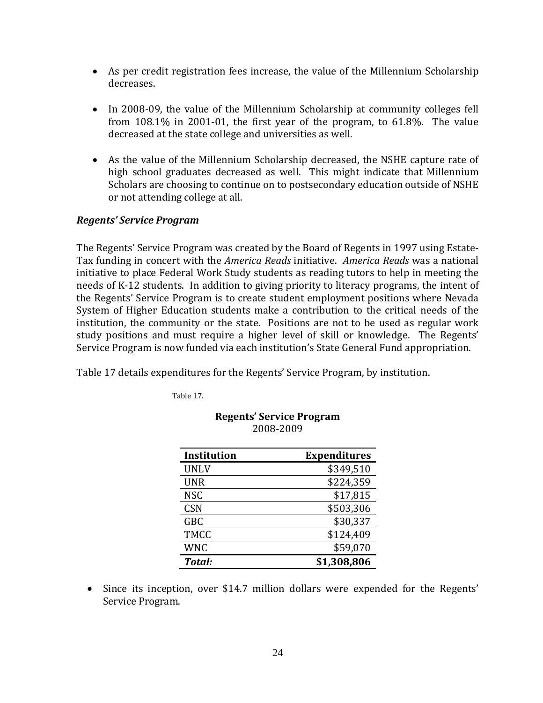- As per credit registration fees increase, the value of the Millennium Scholarship decreases.
- In 2008-09, the value of the Millennium Scholarship at community colleges fell from 108.1% in 2001-01, the first year of the program, to 61.8%. The value decreased at the state college and universities as well.
- As the value of the Millennium Scholarship decreased, the NSHE capture rate of high school graduates decreased as well. This might indicate that Millennium Scholars are choosing to continue on to postsecondary education outside of NSHE or not attending college at all.

## *Regents' Service Program*

The Regents' Service Program was created by the Board of Regents in 1997 using Estate-Tax funding in concert with the *America Reads* initiative. *America Reads* was a national initiative to place Federal Work Study students as reading tutors to help in meeting the needs of K-12 students. In addition to giving priority to literacy programs, the intent of the Regents' Service Program is to create student employment positions where Nevada System of Higher Education students make a contribution to the critical needs of the institution, the community or the state. Positions are not to be used as regular work study positions and must require a higher level of skill or knowledge. The Regents' Service Program is now funded via each institution's State General Fund appropriation.

Table 17 details expenditures for the Regents' Service Program, by institution.

Table 17.

| <b>Institution</b> | <b>Expenditures</b> |
|--------------------|---------------------|
| <b>UNLV</b>        | \$349,510           |
| <b>UNR</b>         | \$224,359           |
| <b>NSC</b>         | \$17,815            |
| <b>CSN</b>         | \$503,306           |
| <b>GBC</b>         | \$30,337            |
| <b>TMCC</b>        | \$124,409           |
| <b>WNC</b>         | \$59,070            |
| Total:             | \$1,308,806         |

| <b>Regents' Service Program</b> |  |  |  |  |  |  |
|---------------------------------|--|--|--|--|--|--|
| 2008-2009                       |  |  |  |  |  |  |

• Since its inception, over \$14.7 million dollars were expended for the Regents' Service Program.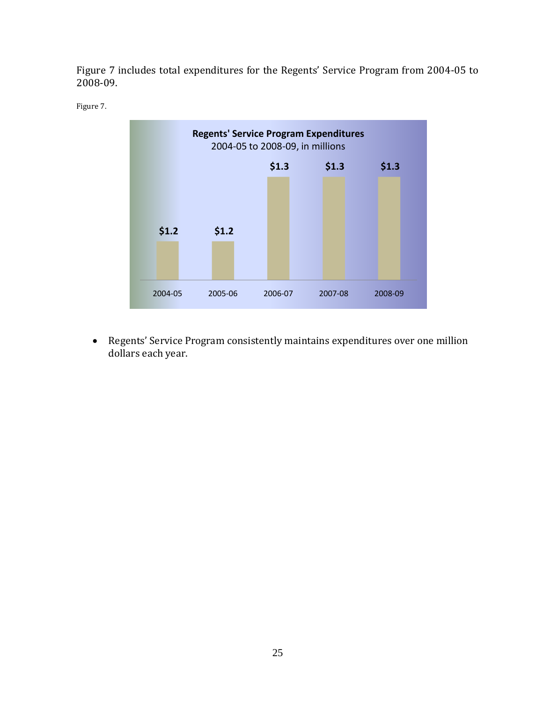Figure 7 includes total expenditures for the Regents' Service Program from 2004-05 to 2008-09.





• Regents' Service Program consistently maintains expenditures over one million dollars each year.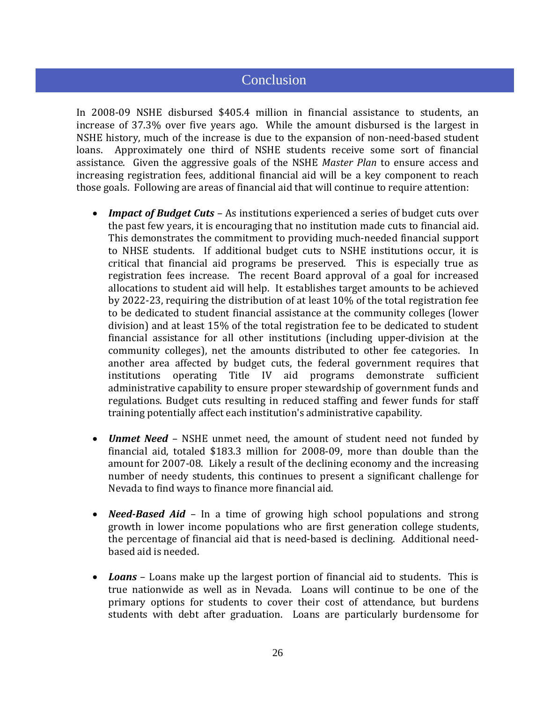# **Conclusion**

In 2008-09 NSHE disbursed \$405.4 million in financial assistance to students, an increase of 37.3% over five years ago. While the amount disbursed is the largest in NSHE history, much of the increase is due to the expansion of non-need-based student loans. Approximately one third of NSHE students receive some sort of financial Approximately one third of NSHE students receive some sort of financial assistance. Given the aggressive goals of the NSHE *Master Plan* to ensure access and increasing registration fees, additional financial aid will be a key component to reach those goals. Following are areas of financial aid that will continue to require attention:

- *Impact of Budget Cuts* As institutions experienced a series of budget cuts over the past few years, it is encouraging that no institution made cuts to financial aid. This demonstrates the commitment to providing much-needed financial support to NHSE students. If additional budget cuts to NSHE institutions occur, it is critical that financial aid programs be preserved. This is especially true as registration fees increase. The recent Board approval of a goal for increased allocations to student aid will help. It establishes target amounts to be achieved by 2022-23, requiring the distribution of at least 10% of the total registration fee to be dedicated to student financial assistance at the community colleges (lower division) and at least 15% of the total registration fee to be dedicated to student financial assistance for all other institutions (including upper-division at the community colleges), net the amounts distributed to other fee categories. In another area affected by budget cuts, the federal government requires that institutions operating Title IV aid programs demonstrate sufficient administrative capability to ensure proper stewardship of government funds and regulations. Budget cuts resulting in reduced staffing and fewer funds for staff training potentially affect each institution's administrative capability.
- *Unmet Need* NSHE unmet need, the amount of student need not funded by financial aid, totaled \$183.3 million for 2008-09, more than double than the amount for 2007-08. Likely a result of the declining economy and the increasing number of needy students, this continues to present a significant challenge for Nevada to find ways to finance more financial aid.
- *Need-Based Aid* In a time of growing high school populations and strong growth in lower income populations who are first generation college students, the percentage of financial aid that is need-based is declining. Additional needbased aid is needed.
- *Loans* Loans make up the largest portion of financial aid to students. This is true nationwide as well as in Nevada. Loans will continue to be one of the primary options for students to cover their cost of attendance, but burdens students with debt after graduation. Loans are particularly burdensome for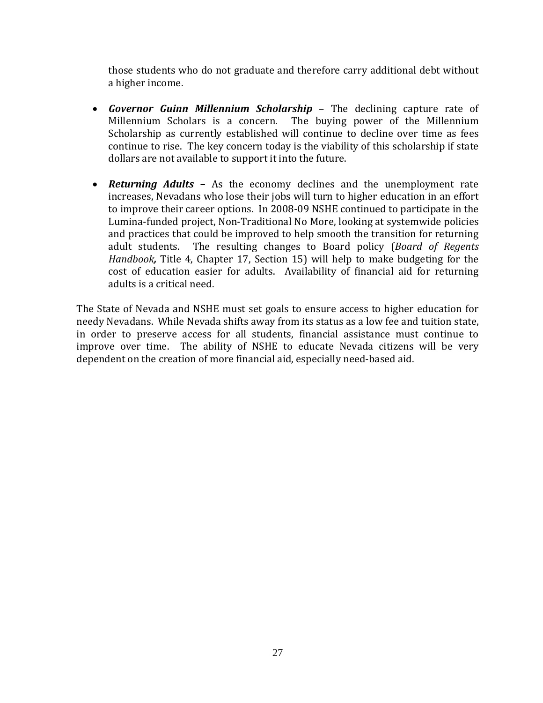those students who do not graduate and therefore carry additional debt without a higher income.

- *Governor Guinn Millennium Scholarship* The declining capture rate of Millennium Scholars is a concern. The buying power of the Millennium Scholarship as currently established will continue to decline over time as fees continue to rise. The key concern today is the viability of this scholarship if state dollars are not available to support it into the future.
- *Returning Adults* As the economy declines and the unemployment rate increases, Nevadans who lose their jobs will turn to higher education in an effort to improve their career options. In 2008-09 NSHE continued to participate in the Lumina-funded project, Non-Traditional No More, looking at systemwide policies and practices that could be improved to help smooth the transition for returning adult students. The resulting changes to Board policy (Board of Regents The resulting changes to Board policy (*Board of Regents Handbook,* Title 4, Chapter 17, Section 15) will help to make budgeting for the cost of education easier for adults. Availability of financial aid for returning adults is a critical need.

The State of Nevada and NSHE must set goals to ensure access to higher education for needy Nevadans. While Nevada shifts away from its status as a low fee and tuition state, in order to preserve access for all students, financial assistance must continue to improve over time. The ability of NSHE to educate Nevada citizens will be very dependent on the creation of more financial aid, especially need-based aid.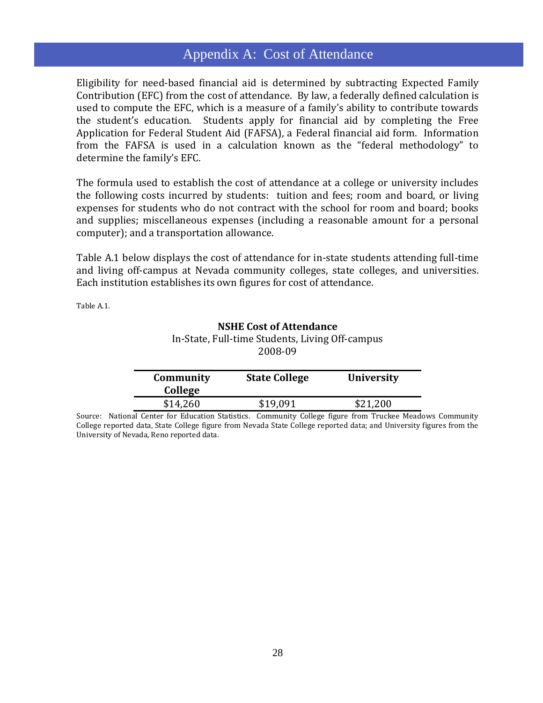# Appendix A: Cost of Attendance

Eligibility for need-based financial aid is determined by subtracting Expected Family Contribution (EFC) from the cost of attendance. By law, a federally defined calculation is used to compute the EFC, which is a measure of a family's ability to contribute towards the student's education. Students apply for financial aid by completing the Free Application for Federal Student Aid (FAFSA), a Federal financial aid form. Information from the FAFSA is used in a calculation known as the "federal methodology" to determine the family's EFC.

The formula used to establish the cost of attendance at a college or university includes the following costs incurred by students: tuition and fees; room and board, or living expenses for students who do not contract with the school for room and board; books and supplies; miscellaneous expenses (including a reasonable amount for a personal computer); and a transportation allowance.

Table A.1 below displays the cost of attendance for in-state students attending full-time and living off-campus at Nevada community colleges, state colleges, and universities. Each institution establishes its own figures for cost of attendance.

Table A.1.

#### **NSHE Cost of Attendance**

In-State, Full-time Students, Living Off-campus 2008-09

| Community<br>College | <b>State College</b> | <b>University</b> |
|----------------------|----------------------|-------------------|
| \$14,260             | \$19,091             | \$21,200          |

Source: National Center for Education Statistics. Community College figure from Truckee Meadows Community College reported data, State College figure from Nevada State College reported data; and University figures from the University of Nevada, Reno reported data.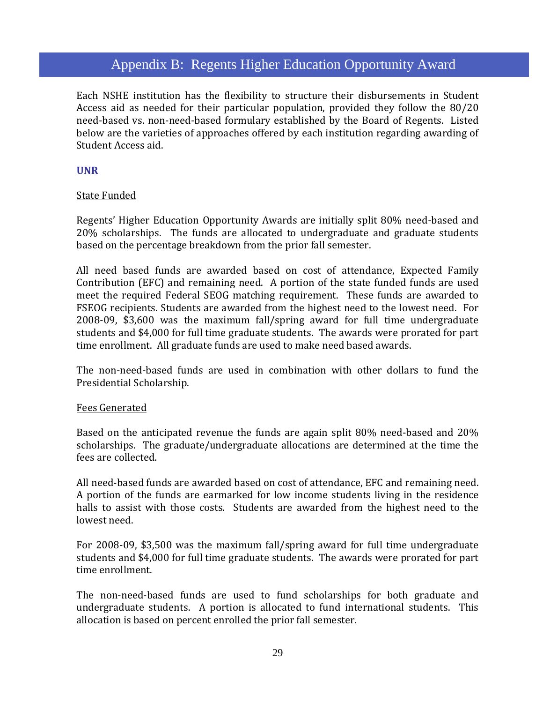# Appendix B: Regents Higher Education Opportunity Award

Each NSHE institution has the flexibility to structure their disbursements in Student Access aid as needed for their particular population, provided they follow the 80/20 need-based vs. non-need-based formulary established by the Board of Regents. Listed below are the varieties of approaches offered by each institution regarding awarding of Student Access aid.

#### **UNR**

#### State Funded

Regents' Higher Education Opportunity Awards are initially split 80% need-based and 20% scholarships. The funds are allocated to undergraduate and graduate students based on the percentage breakdown from the prior fall semester.

All need based funds are awarded based on cost of attendance, Expected Family Contribution (EFC) and remaining need. A portion of the state funded funds are used meet the required Federal SEOG matching requirement. These funds are awarded to FSEOG recipients. Students are awarded from the highest need to the lowest need. For 2008-09, \$3,600 was the maximum fall/spring award for full time undergraduate students and \$4,000 for full time graduate students. The awards were prorated for part time enrollment. All graduate funds are used to make need based awards.

The non-need-based funds are used in combination with other dollars to fund the Presidential Scholarship.

#### Fees Generated

Based on the anticipated revenue the funds are again split 80% need-based and 20% scholarships. The graduate/undergraduate allocations are determined at the time the fees are collected.

All need-based funds are awarded based on cost of attendance, EFC and remaining need. A portion of the funds are earmarked for low income students living in the residence halls to assist with those costs. Students are awarded from the highest need to the lowest need.

For 2008-09, \$3,500 was the maximum fall/spring award for full time undergraduate students and \$4,000 for full time graduate students. The awards were prorated for part time enrollment.

The non-need-based funds are used to fund scholarships for both graduate and undergraduate students. A portion is allocated to fund international students. This allocation is based on percent enrolled the prior fall semester.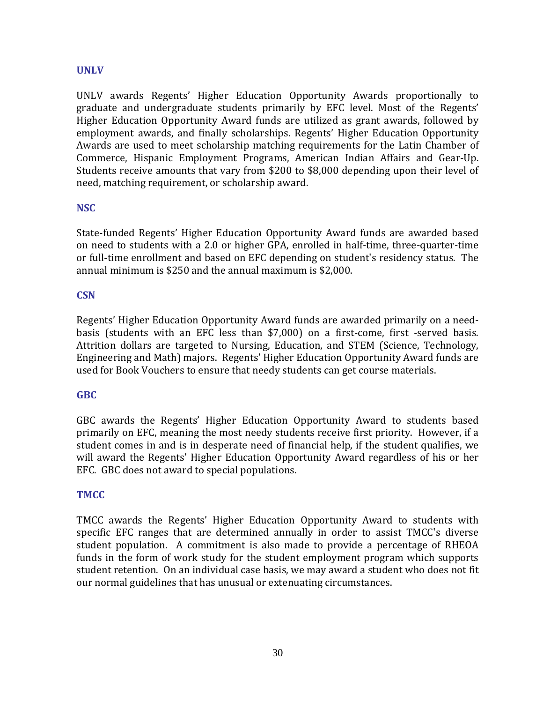#### **UNLV**

UNLV awards Regents' Higher Education Opportunity Awards proportionally to graduate and undergraduate students primarily by EFC level. Most of the Regents' Higher Education Opportunity Award funds are utilized as grant awards, followed by employment awards, and finally scholarships. Regents' Higher Education Opportunity Awards are used to meet scholarship matching requirements for the Latin Chamber of Commerce, Hispanic Employment Programs, American Indian Affairs and Gear-Up. Students receive amounts that vary from \$200 to \$8,000 depending upon their level of need, matching requirement, or scholarship award.

#### **NSC**

State-funded Regents' Higher Education Opportunity Award funds are awarded based on need to students with a 2.0 or higher GPA, enrolled in half-time, three-quarter-time or full-time enrollment and based on EFC depending on student's residency status. The annual minimum is \$250 and the annual maximum is \$2,000.

#### **CSN**

Regents' Higher Education Opportunity Award funds are awarded primarily on a needbasis (students with an EFC less than \$7,000) on a first-come, first -served basis. Attrition dollars are targeted to Nursing, Education, and STEM (Science, Technology, Engineering and Math) majors. Regents' Higher Education Opportunity Award funds are used for Book Vouchers to ensure that needy students can get course materials.

#### **GBC**

GBC awards the Regents' Higher Education Opportunity Award to students based primarily on EFC, meaning the most needy students receive first priority. However, if a student comes in and is in desperate need of financial help, if the student qualifies, we will award the Regents' Higher Education Opportunity Award regardless of his or her EFC. GBC does not award to special populations.

#### **TMCC**

TMCC awards the Regents' Higher Education Opportunity Award to students with specific EFC ranges that are determined annually in order to assist TMCC's diverse student population. A commitment is also made to provide a percentage of RHEOA funds in the form of work study for the student employment program which supports student retention. On an individual case basis, we may award a student who does not fit our normal guidelines that has unusual or extenuating circumstances.